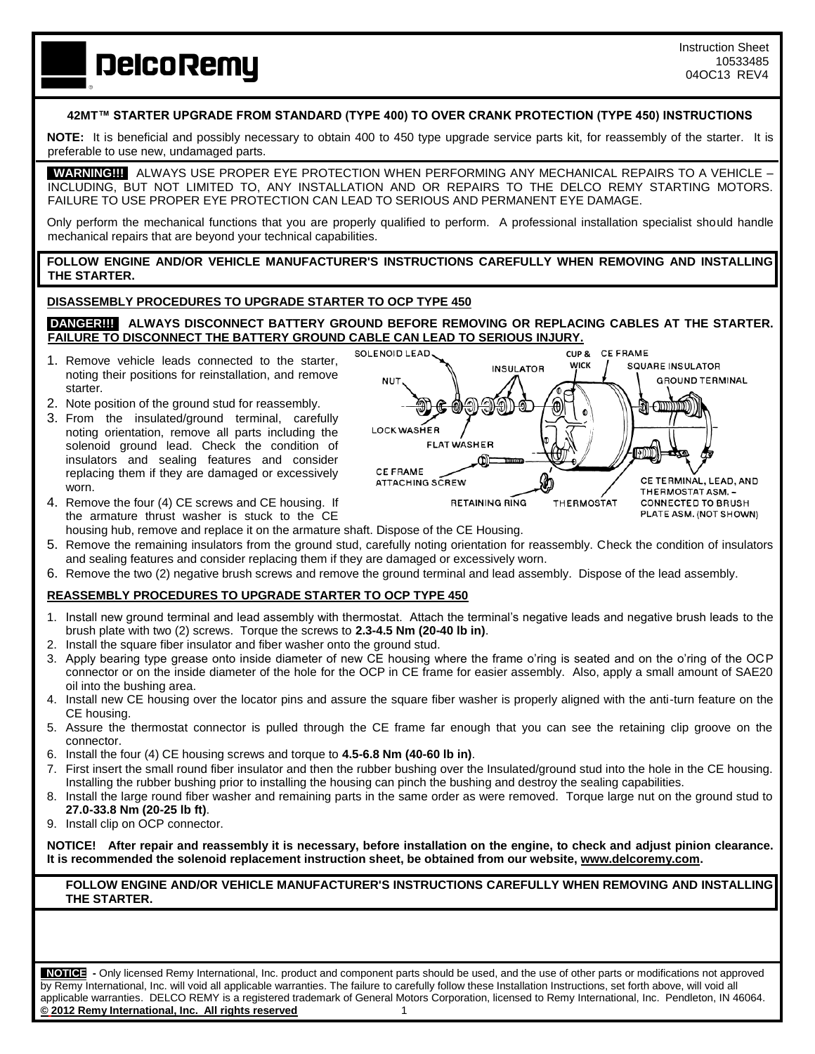**DelcoRemy** 

### **42MT™ STARTER UPGRADE FROM STANDARD (TYPE 400) TO OVER CRANK PROTECTION (TYPE 450) INSTRUCTIONS**

**NOTE:** It is beneficial and possibly necessary to obtain 400 to 450 type upgrade service parts kit, for reassembly of the starter. It is preferable to use new, undamaged parts.

 **WARNING!!!** ALWAYS USE PROPER EYE PROTECTION WHEN PERFORMING ANY MECHANICAL REPAIRS TO A VEHICLE – INCLUDING, BUT NOT LIMITED TO, ANY INSTALLATION AND OR REPAIRS TO THE DELCO REMY STARTING MOTORS. FAILURE TO USE PROPER EYE PROTECTION CAN LEAD TO SERIOUS AND PERMANENT EYE DAMAGE.

Only perform the mechanical functions that you are properly qualified to perform. A professional installation specialist should handle mechanical repairs that are beyond your technical capabilities.

#### **FOLLOW ENGINE AND/OR VEHICLE MANUFACTURER'S INSTRUCTIONS CAREFULLY WHEN REMOVING AND INSTALLING THE STARTER.**

#### **DISASSEMBLY PROCEDURES TO UPGRADE STARTER TO OCP TYPE 450**

#### **DANGER!!! ALWAYS DISCONNECT BATTERY GROUND BEFORE REMOVING OR REPLACING CABLES AT THE STARTER. FAILURE TO DISCONNECT THE BATTERY GROUND CABLE CAN LEAD TO SERIOUS INJURY.**

- 1. Remove vehicle leads connected to the starter, noting their positions for reinstallation, and remove starter.
- 2. Note position of the ground stud for reassembly.
- 3. From the insulated/ground terminal, carefully noting orientation, remove all parts including the solenoid ground lead. Check the condition of insulators and sealing features and consider replacing them if they are damaged or excessively worn.
- 4. Remove the four (4) CE screws and CE housing. If the armature thrust washer is stuck to the CE



- housing hub, remove and replace it on the armature shaft. Dispose of the CE Housing.
- 5. Remove the remaining insulators from the ground stud, carefully noting orientation for reassembly. Check the condition of insulators and sealing features and consider replacing them if they are damaged or excessively worn.
- 6. Remove the two (2) negative brush screws and remove the ground terminal and lead assembly. Dispose of the lead assembly.

## **REASSEMBLY PROCEDURES TO UPGRADE STARTER TO OCP TYPE 450**

- 1. Install new ground terminal and lead assembly with thermostat. Attach the terminal's negative leads and negative brush leads to the brush plate with two (2) screws. Torque the screws to **2.3-4.5 Nm (20-40 lb in)**.
- 2. Install the square fiber insulator and fiber washer onto the ground stud.
- 3. Apply bearing type grease onto inside diameter of new CE housing where the frame o'ring is seated and on the o'ring of the OCP connector or on the inside diameter of the hole for the OCP in CE frame for easier assembly. Also, apply a small amount of SAE20 oil into the bushing area.
- 4. Install new CE housing over the locator pins and assure the square fiber washer is properly aligned with the anti-turn feature on the CE housing.
- 5. Assure the thermostat connector is pulled through the CE frame far enough that you can see the retaining clip groove on the connector.
- 6. Install the four (4) CE housing screws and torque to **4.5-6.8 Nm (40-60 lb in)**.
- 7. First insert the small round fiber insulator and then the rubber bushing over the Insulated/ground stud into the hole in the CE housing. Installing the rubber bushing prior to installing the housing can pinch the bushing and destroy the sealing capabilities.
- 8. Install the large round fiber washer and remaining parts in the same order as were removed. Torque large nut on the ground stud to **27.0-33.8 Nm (20-25 lb ft)**.
- 9. Install clip on OCP connector.

**NOTICE!****After repair and reassembly it is necessary, before installation on the engine, to check and adjust pinion clearance. It is recommended the solenoid replacement instruction sheet, be obtained from our website, [www.delcoremy.com.](http://www.delcoremy.com/)**

#### **FOLLOW ENGINE AND/OR VEHICLE MANUFACTURER'S INSTRUCTIONS CAREFULLY WHEN REMOVING AND INSTALLING THE STARTER.**

 **NOTICE -** Only licensed Remy International, Inc. product and component parts should be used, and the use of other parts or modifications not approved by Remy International, Inc. will void all applicable warranties. The failure to carefully follow these Installation Instructions, set forth above, will void all applicable warranties. DELCO REMY is a registered trademark of General Motors Corporation, licensed to Remy International, Inc. Pendleton, IN 46064. **© 2012 Remy International, Inc. All rights reserved** 1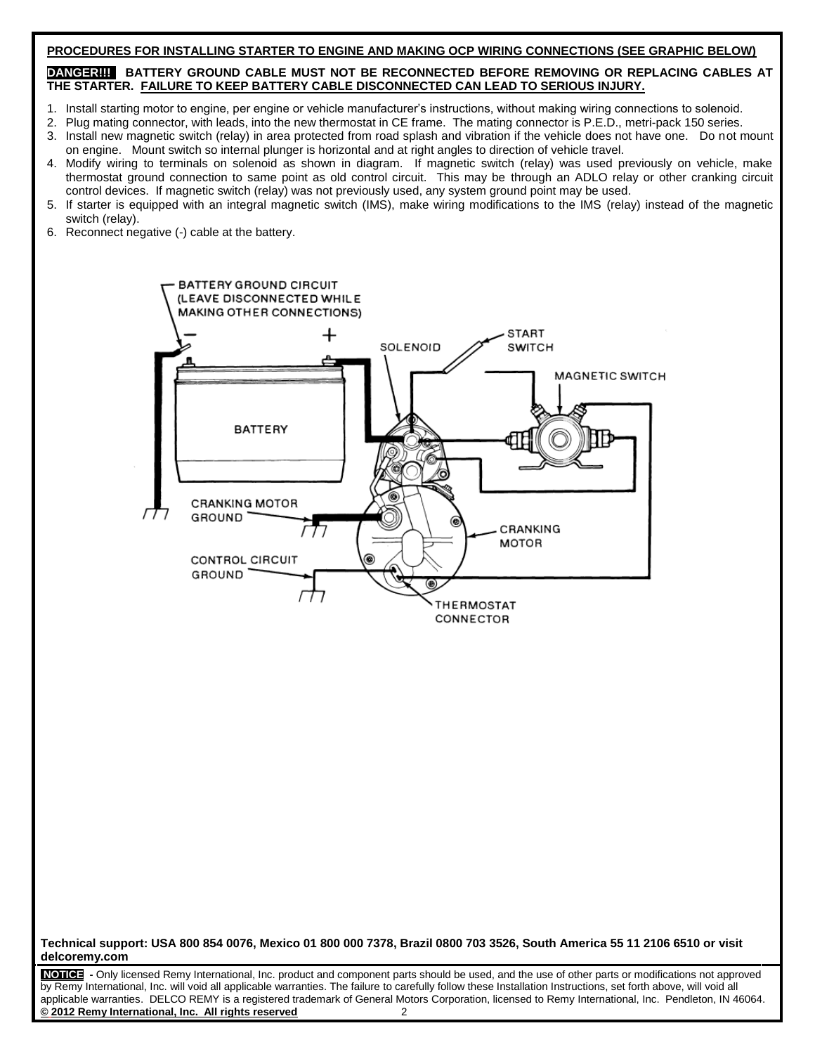#### **PROCEDURES FOR INSTALLING STARTER TO ENGINE AND MAKING OCP WIRING CONNECTIONS (SEE GRAPHIC BELOW)**

#### **DANGER!!! BATTERY GROUND CABLE MUST NOT BE RECONNECTED BEFORE REMOVING OR REPLACING CABLES AT THE STARTER. FAILURE TO KEEP BATTERY CABLE DISCONNECTED CAN LEAD TO SERIOUS INJURY.**

- 1. Install starting motor to engine, per engine or vehicle manufacturer's instructions, without making wiring connections to solenoid.
- 2. Plug mating connector, with leads, into the new thermostat in CE frame. The mating connector is P.E.D., metri-pack 150 series.
- 3. Install new magnetic switch (relay) in area protected from road splash and vibration if the vehicle does not have one. Do not mount on engine. Mount switch so internal plunger is horizontal and at right angles to direction of vehicle travel.
- 4. Modify wiring to terminals on solenoid as shown in diagram. If magnetic switch (relay) was used previously on vehicle, make thermostat ground connection to same point as old control circuit. This may be through an ADLO relay or other cranking circuit control devices. If magnetic switch (relay) was not previously used, any system ground point may be used.
- 5. If starter is equipped with an integral magnetic switch (IMS), make wiring modifications to the IMS (relay) instead of the magnetic switch (relay).
- 6. Reconnect negative (-) cable at the battery.



#### **Technical support: USA 800 854 0076, Mexico 01 800 000 7378, Brazil 0800 703 3526, South America 55 11 2106 6510 or visit delcoremy.com**

**NOTICE -** Only licensed Remy International, Inc. product and component parts should be used, and the use of other parts or modifications not approved by Remy International, Inc. will void all applicable warranties. The failure to carefully follow these Installation Instructions, set forth above, will void all applicable warranties. DELCO REMY is a registered trademark of General Motors Corporation, licensed to Remy International, Inc. Pendleton, IN 46064. **© 2012 Remy International, Inc. All rights reserved** 2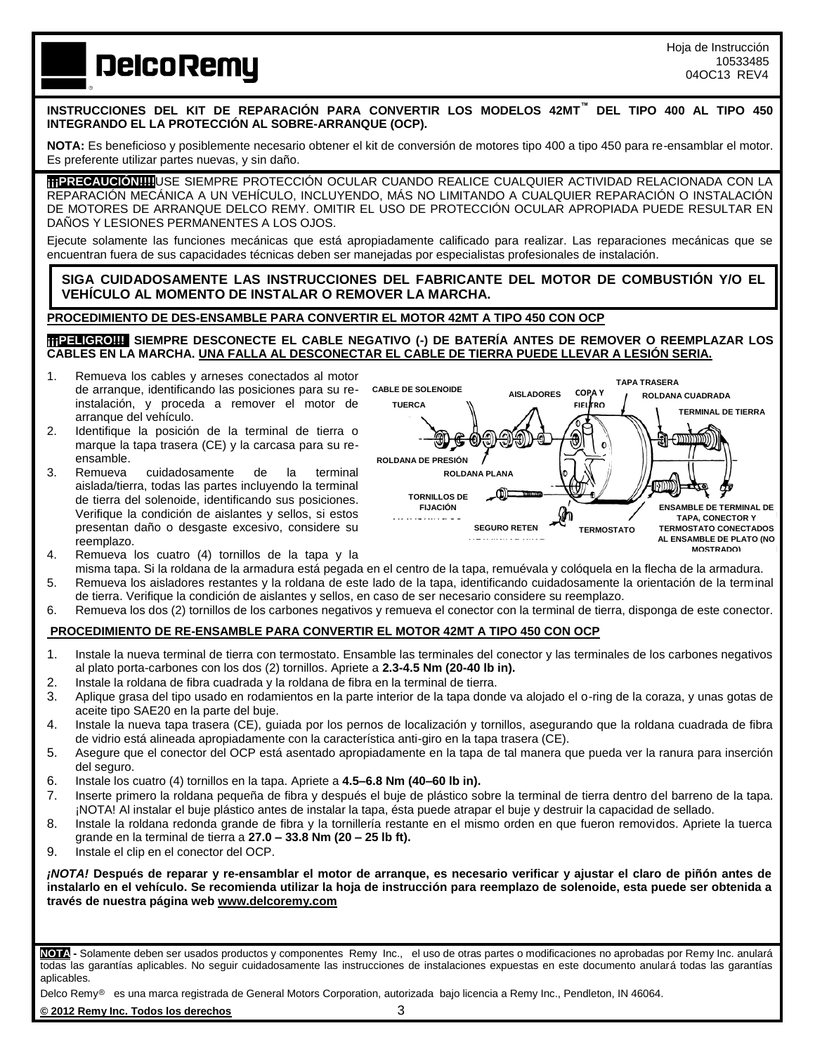# **DelcoRemy**

**INSTRUCCIONES DEL KIT DE REPARACIÓN PARA CONVERTIR LOS MODELOS 42MT™ DEL TIPO 400 AL TIPO 450 INTEGRANDO EL LA PROTECCIÓN AL SOBRE-ARRANQUE (OCP).**

**NOTA:** Es beneficioso y posiblemente necesario obtener el kit de conversión de motores tipo 400 a tipo 450 para re-ensamblar el motor. Es preferente utilizar partes nuevas, y sin daño.

**¡¡¡PRECAUCIÓN!!!!**USE SIEMPRE PROTECCIÓN OCULAR CUANDO REALICE CUALQUIER ACTIVIDAD RELACIONADA CON LA REPARACIÓN MECÁNICA A UN VEHÍCULO, INCLUYENDO, MÁS NO LIMITANDO A CUALQUIER REPARACIÓN O INSTALACIÓN DE MOTORES DE ARRANQUE DELCO REMY. OMITIR EL USO DE PROTECCIÓN OCULAR APROPIADA PUEDE RESULTAR EN DAÑOS Y LESIONES PERMANENTES A LOS OJOS.

Ejecute solamente las funciones mecánicas que está apropiadamente calificado para realizar. Las reparaciones mecánicas que se encuentran fuera de sus capacidades técnicas deben ser manejadas por especialistas profesionales de instalación.

**SIGA CUIDADOSAMENTE LAS INSTRUCCIONES DEL FABRICANTE DEL MOTOR DE COMBUSTIÓN Y/O EL VEHÍCULO AL MOMENTO DE INSTALAR O REMOVER LA MARCHA.**

## **PROCEDIMIENTO DE DES-ENSAMBLE PARA CONVERTIR EL MOTOR 42MT A TIPO 450 CON OCP**

**¡¡¡PELIGRO!!! SIEMPRE DESCONECTE EL CABLE NEGATIVO (-) DE BATERÍA ANTES DE REMOVER O REEMPLAZAR LOS CABLES EN LA MARCHA. UNA FALLA AL DESCONECTAR EL CABLE DE TIERRA PUEDE LLEVAR A LESIÓN SERIA.**

- 1. Remueva los cables y arneses conectados al motor de arranque, identificando las posiciones para su reinstalación, y proceda a remover el motor de arranque del vehículo.
- 2. Identifique la posición de la terminal de tierra o marque la tapa trasera (CE) y la carcasa para su reensamble.<br>Remueva
- 3. Remueva cuidadosamente de la terminal aislada/tierra, todas las partes incluyendo la terminal de tierra del solenoide, identificando sus posiciones. Verifique la condición de aislantes y sellos, si estos presentan daño o desgaste excesivo, considere su reemplazo.
- 4. Remueva los cuatro (4) tornillos de la tapa y la



- misma tapa. Si la roldana de la armadura está pegada en el centro de la tapa, remuévala y colóquela en la flecha de la armadura. 5. Remueva los aisladores restantes y la roldana de este lado de la tapa, identificando cuidadosamente la orientación de la terminal
- de tierra. Verifique la condición de aislantes y sellos, en caso de ser necesario considere su reemplazo. 6. Remueva los dos (2) tornillos de los carbones negativos y remueva el conector con la terminal de tierra, disponga de este conector.

#### **PROCEDIMIENTO DE RE-ENSAMBLE PARA CONVERTIR EL MOTOR 42MT A TIPO 450 CON OCP**

- 1. Instale la nueva terminal de tierra con termostato. Ensamble las terminales del conector y las terminales de los carbones negativos al plato porta-carbones con los dos (2) tornillos. Apriete a **2.3-4.5 Nm (20-40 lb in).**
- 2. Instale la roldana de fibra cuadrada y la roldana de fibra en la terminal de tierra.
- 3. Aplique grasa del tipo usado en rodamientos en la parte interior de la tapa donde va alojado el o-ring de la coraza, y unas gotas de aceite tipo SAE20 en la parte del buje.
- 4. Instale la nueva tapa trasera (CE), guiada por los pernos de localización y tornillos, asegurando que la roldana cuadrada de fibra de vidrio está alineada apropiadamente con la característica anti-giro en la tapa trasera (CE).
- 5. Asegure que el conector del OCP está asentado apropiadamente en la tapa de tal manera que pueda ver la ranura para inserción del seguro.
- 6. Instale los cuatro (4) tornillos en la tapa. Apriete a **4.5–6.8 Nm (40–60 lb in).**
- 7. Inserte primero la roldana pequeña de fibra y después el buje de plástico sobre la terminal de tierra dentro del barreno de la tapa. ¡NOTA! Al instalar el buje plástico antes de instalar la tapa, ésta puede atrapar el buje y destruir la capacidad de sellado.
- 8. Instale la roldana redonda grande de fibra y la tornillería restante en el mismo orden en que fueron removidos. Apriete la tuerca grande en la terminal de tierra a **27.0 – 33.8 Nm (20 – 25 lb ft).**
- 9. Instale el clip en el conector del OCP.

*¡NOTA!* **Después de reparar y re-ensamblar el motor de arranque, es necesario verificar y ajustar el claro de piñón antes de instalarlo en el vehículo. Se recomienda utilizar la hoja de instrucción para reemplazo de solenoide, esta puede ser obtenida a través de nuestra página web www.delcoremy.com**

**NOTA -** Solamente deben ser usados productos y componentes Remy Inc., el uso de otras partes o modificaciones no aprobadas por Remy Inc. anulará todas las garantías aplicables. No seguir cuidadosamente las instrucciones de instalaciones expuestas en este documento anulará todas las garantías aplicables.

Delco Remy<sup>®</sup> es una marca registrada de General Motors Corporation, autorizada bajo licencia a Remy Inc., Pendleton, IN 46064.

#### **© 2012 Remy Inc. Todos los derechos** 3